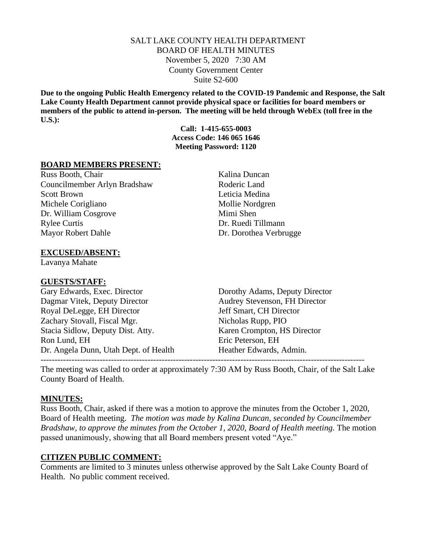### SALT LAKE COUNTY HEALTH DEPARTMENT BOARD OF HEALTH MINUTES November 5, 2020 7:30 AM County Government Center Suite S2-600

**Due to the ongoing Public Health Emergency related to the COVID-19 Pandemic and Response, the Salt Lake County Health Department cannot provide physical space or facilities for board members or members of the public to attend in-person. The meeting will be held through WebEx (toll free in the U.S.):**

> **Call: 1-415-655-0003 Access Code: 146 065 1646 Meeting Password: 1120**

### **BOARD MEMBERS PRESENT:**

Russ Booth, Chair Kalina Duncan Councilmember Arlyn Bradshaw Roderic Land Scott Brown Leticia Medina Michele Corigliano Mollie Nordgren Dr. William Cosgrove Mimi Shen Rylee Curtis Dr. Ruedi Tillmann Mayor Robert Dahle Dr. Dorothea Verbrugge

### **EXCUSED/ABSENT:**

Lavanya Mahate

### **GUESTS/STAFF:**

Gary Edwards, Exec. Director Dorothy Adams, Deputy Director Dagmar Vitek, Deputy Director Audrey Stevenson, FH Director Royal DeLegge, EH Director Jeff Smart, CH Director Zachary Stovall, Fiscal Mgr. Nicholas Rupp, PIO Stacia Sidlow, Deputy Dist. Atty. Karen Crompton, HS Director Ron Lund, EH Eric Peterson, EH Dr. Angela Dunn, Utah Dept. of Health Heather Edwards, Admin.

The meeting was called to order at approximately 7:30 AM by Russ Booth, Chair, of the Salt Lake County Board of Health.

-------------------------------------------------------------------------------------------------------------------

### **MINUTES:**

Russ Booth, Chair, asked if there was a motion to approve the minutes from the October 1, 2020, Board of Health meeting. *The motion was made by Kalina Duncan, seconded by Councilmember Bradshaw, to approve the minutes from the October 1, 2020, Board of Health meeting. The motion* passed unanimously, showing that all Board members present voted "Aye."

#### **CITIZEN PUBLIC COMMENT:**

Comments are limited to 3 minutes unless otherwise approved by the Salt Lake County Board of Health. No public comment received.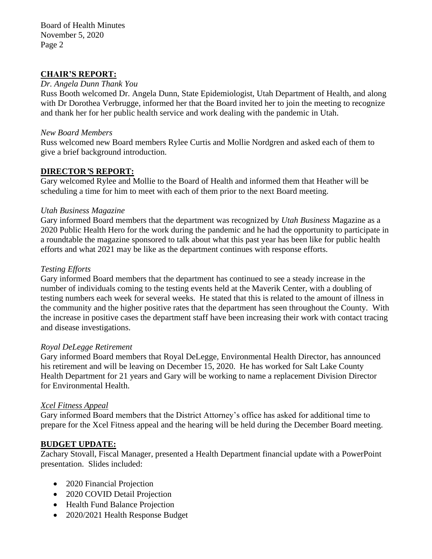Board of Health Minutes November 5, 2020 Page 2

### **CHAIR'S REPORT:**

### *Dr. Angela Dunn Thank You*

Russ Booth welcomed Dr. Angela Dunn, State Epidemiologist, Utah Department of Health, and along with Dr Dorothea Verbrugge, informed her that the Board invited her to join the meeting to recognize and thank her for her public health service and work dealing with the pandemic in Utah.

### *New Board Members*

Russ welcomed new Board members Rylee Curtis and Mollie Nordgren and asked each of them to give a brief background introduction.

## **DIRECTOR***'***S REPORT:**

Gary welcomed Rylee and Mollie to the Board of Health and informed them that Heather will be scheduling a time for him to meet with each of them prior to the next Board meeting.

### *Utah Business Magazine*

Gary informed Board members that the department was recognized by *Utah Business* Magazine as a 2020 Public Health Hero for the work during the pandemic and he had the opportunity to participate in a roundtable the magazine sponsored to talk about what this past year has been like for public health efforts and what 2021 may be like as the department continues with response efforts.

### *Testing Efforts*

Gary informed Board members that the department has continued to see a steady increase in the number of individuals coming to the testing events held at the Maverik Center, with a doubling of testing numbers each week for several weeks. He stated that this is related to the amount of illness in the community and the higher positive rates that the department has seen throughout the County. With the increase in positive cases the department staff have been increasing their work with contact tracing and disease investigations.

### *Royal DeLegge Retirement*

Gary informed Board members that Royal DeLegge, Environmental Health Director, has announced his retirement and will be leaving on December 15, 2020. He has worked for Salt Lake County Health Department for 21 years and Gary will be working to name a replacement Division Director for Environmental Health.

### *Xcel Fitness Appeal*

Gary informed Board members that the District Attorney's office has asked for additional time to prepare for the Xcel Fitness appeal and the hearing will be held during the December Board meeting.

### **BUDGET UPDATE:**

Zachary Stovall, Fiscal Manager, presented a Health Department financial update with a PowerPoint presentation. Slides included:

- 2020 Financial Projection
- 2020 COVID Detail Projection
- Health Fund Balance Projection
- 2020/2021 Health Response Budget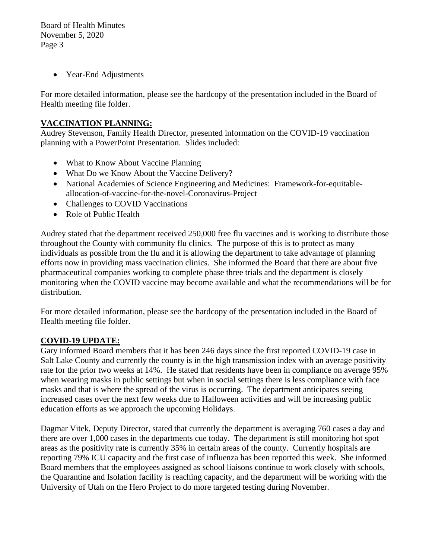Board of Health Minutes November 5, 2020 Page 3

• Year-End Adjustments

For more detailed information, please see the hardcopy of the presentation included in the Board of Health meeting file folder.

## **VACCINATION PLANNING:**

Audrey Stevenson, Family Health Director, presented information on the COVID-19 vaccination planning with a PowerPoint Presentation. Slides included:

- What to Know About Vaccine Planning
- What Do we Know About the Vaccine Delivery?
- National Academies of Science Engineering and Medicines: Framework-for-equitableallocation-of-vaccine-for-the-novel-Coronavirus-Project
- Challenges to COVID Vaccinations
- Role of Public Health

Audrey stated that the department received 250,000 free flu vaccines and is working to distribute those throughout the County with community flu clinics. The purpose of this is to protect as many individuals as possible from the flu and it is allowing the department to take advantage of planning efforts now in providing mass vaccination clinics. She informed the Board that there are about five pharmaceutical companies working to complete phase three trials and the department is closely monitoring when the COVID vaccine may become available and what the recommendations will be for distribution.

For more detailed information, please see the hardcopy of the presentation included in the Board of Health meeting file folder.

## **COVID-19 UPDATE:**

Gary informed Board members that it has been 246 days since the first reported COVID-19 case in Salt Lake County and currently the county is in the high transmission index with an average positivity rate for the prior two weeks at 14%. He stated that residents have been in compliance on average 95% when wearing masks in public settings but when in social settings there is less compliance with face masks and that is where the spread of the virus is occurring. The department anticipates seeing increased cases over the next few weeks due to Halloween activities and will be increasing public education efforts as we approach the upcoming Holidays.

Dagmar Vitek, Deputy Director, stated that currently the department is averaging 760 cases a day and there are over 1,000 cases in the departments cue today. The department is still monitoring hot spot areas as the positivity rate is currently 35% in certain areas of the county. Currently hospitals are reporting 79% ICU capacity and the first case of influenza has been reported this week. She informed Board members that the employees assigned as school liaisons continue to work closely with schools, the Quarantine and Isolation facility is reaching capacity, and the department will be working with the University of Utah on the Hero Project to do more targeted testing during November.